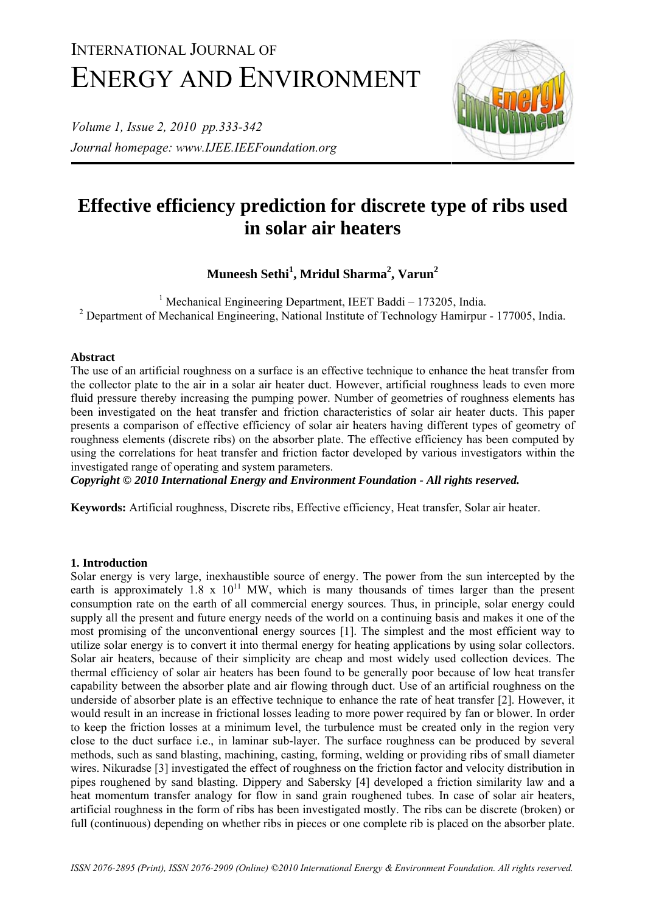# INTERNATIONAL JOURNAL OF ENERGY AND ENVIRONMENT

*Volume 1, Issue 2, 2010 pp.333-342 Journal homepage: www.IJEE.IEEFoundation.org* 



# **Effective efficiency prediction for discrete type of ribs used in solar air heaters**

 $\mathbf{M}$ uneesh Sethi $^{1}$ , Mridul Sharma $^{2}$ , Varun $^{2}$ 

<sup>1</sup> Mechanical Engineering Department, IEET Baddi – 173205, India. <sup>2</sup> Department of Mechanical Engineering, National Institute of Technology Hamirpur - 177005, India.

## **Abstract**

The use of an artificial roughness on a surface is an effective technique to enhance the heat transfer from the collector plate to the air in a solar air heater duct. However, artificial roughness leads to even more fluid pressure thereby increasing the pumping power. Number of geometries of roughness elements has been investigated on the heat transfer and friction characteristics of solar air heater ducts. This paper presents a comparison of effective efficiency of solar air heaters having different types of geometry of roughness elements (discrete ribs) on the absorber plate. The effective efficiency has been computed by using the correlations for heat transfer and friction factor developed by various investigators within the investigated range of operating and system parameters.

*Copyright © 2010 International Energy and Environment Foundation - All rights reserved.*

**Keywords:** Artificial roughness, Discrete ribs, Effective efficiency, Heat transfer, Solar air heater.

## **1. Introduction**

Solar energy is very large, inexhaustible source of energy. The power from the sun intercepted by the earth is approximately  $1.8 \times 10^{11}$  MW, which is many thousands of times larger than the present consumption rate on the earth of all commercial energy sources. Thus, in principle, solar energy could supply all the present and future energy needs of the world on a continuing basis and makes it one of the most promising of the unconventional energy sources [1]. The simplest and the most efficient way to utilize solar energy is to convert it into thermal energy for heating applications by using solar collectors. Solar air heaters, because of their simplicity are cheap and most widely used collection devices. The thermal efficiency of solar air heaters has been found to be generally poor because of low heat transfer capability between the absorber plate and air flowing through duct. Use of an artificial roughness on the underside of absorber plate is an effective technique to enhance the rate of heat transfer [2]. However, it would result in an increase in frictional losses leading to more power required by fan or blower. In order to keep the friction losses at a minimum level, the turbulence must be created only in the region very close to the duct surface i.e., in laminar sub-layer. The surface roughness can be produced by several methods, such as sand blasting, machining, casting, forming, welding or providing ribs of small diameter wires. Nikuradse [3] investigated the effect of roughness on the friction factor and velocity distribution in pipes roughened by sand blasting. Dippery and Sabersky [4] developed a friction similarity law and a heat momentum transfer analogy for flow in sand grain roughened tubes. In case of solar air heaters, artificial roughness in the form of ribs has been investigated mostly. The ribs can be discrete (broken) or full (continuous) depending on whether ribs in pieces or one complete rib is placed on the absorber plate.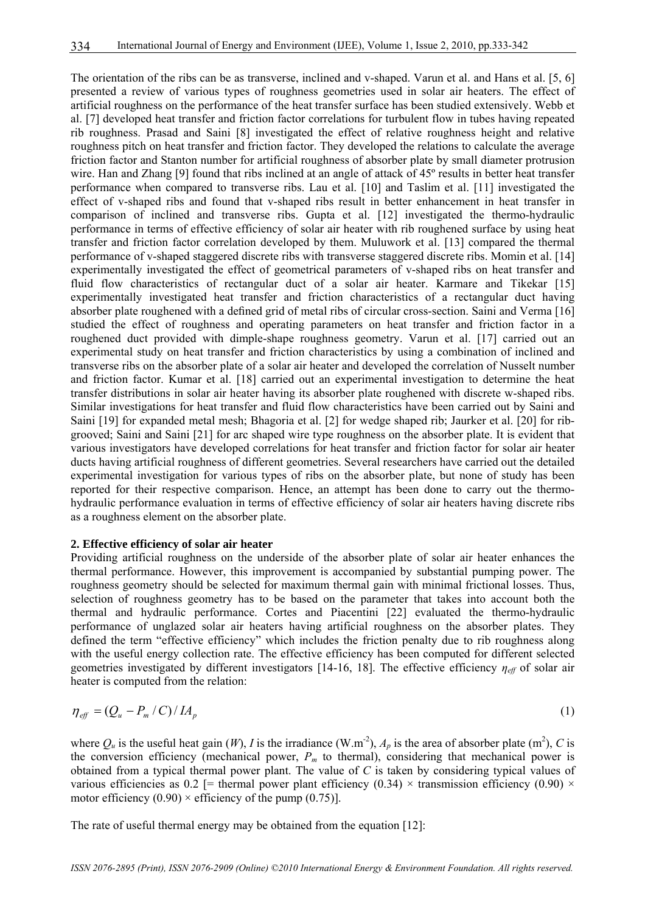The orientation of the ribs can be as transverse, inclined and v-shaped. Varun et al. and Hans et al. [5, 6] presented a review of various types of roughness geometries used in solar air heaters. The effect of artificial roughness on the performance of the heat transfer surface has been studied extensively. Webb et al. [7] developed heat transfer and friction factor correlations for turbulent flow in tubes having repeated rib roughness. Prasad and Saini [8] investigated the effect of relative roughness height and relative roughness pitch on heat transfer and friction factor. They developed the relations to calculate the average friction factor and Stanton number for artificial roughness of absorber plate by small diameter protrusion wire. Han and Zhang [9] found that ribs inclined at an angle of attack of 45<sup>°</sup> results in better heat transfer performance when compared to transverse ribs. Lau et al. [10] and Taslim et al. [11] investigated the effect of v-shaped ribs and found that v-shaped ribs result in better enhancement in heat transfer in comparison of inclined and transverse ribs. Gupta et al. [12] investigated the thermo-hydraulic performance in terms of effective efficiency of solar air heater with rib roughened surface by using heat transfer and friction factor correlation developed by them. Muluwork et al. [13] compared the thermal performance of v-shaped staggered discrete ribs with transverse staggered discrete ribs. Momin et al. [14] experimentally investigated the effect of geometrical parameters of v-shaped ribs on heat transfer and fluid flow characteristics of rectangular duct of a solar air heater. Karmare and Tikekar [15] experimentally investigated heat transfer and friction characteristics of a rectangular duct having absorber plate roughened with a defined grid of metal ribs of circular cross-section. Saini and Verma [16] studied the effect of roughness and operating parameters on heat transfer and friction factor in a roughened duct provided with dimple-shape roughness geometry. Varun et al. [17] carried out an experimental study on heat transfer and friction characteristics by using a combination of inclined and transverse ribs on the absorber plate of a solar air heater and developed the correlation of Nusselt number and friction factor. Kumar et al. [18] carried out an experimental investigation to determine the heat transfer distributions in solar air heater having its absorber plate roughened with discrete w-shaped ribs. Similar investigations for heat transfer and fluid flow characteristics have been carried out by Saini and Saini [19] for expanded metal mesh; Bhagoria et al. [2] for wedge shaped rib; Jaurker et al. [20] for ribgrooved; Saini and Saini [21] for arc shaped wire type roughness on the absorber plate. It is evident that various investigators have developed correlations for heat transfer and friction factor for solar air heater ducts having artificial roughness of different geometries. Several researchers have carried out the detailed experimental investigation for various types of ribs on the absorber plate, but none of study has been reported for their respective comparison. Hence, an attempt has been done to carry out the thermohydraulic performance evaluation in terms of effective efficiency of solar air heaters having discrete ribs as a roughness element on the absorber plate.

#### **2. Effective efficiency of solar air heater**

Providing artificial roughness on the underside of the absorber plate of solar air heater enhances the thermal performance. However, this improvement is accompanied by substantial pumping power. The roughness geometry should be selected for maximum thermal gain with minimal frictional losses. Thus, selection of roughness geometry has to be based on the parameter that takes into account both the thermal and hydraulic performance. Cortes and Piacentini [22] evaluated the thermo-hydraulic performance of unglazed solar air heaters having artificial roughness on the absorber plates. They defined the term "effective efficiency" which includes the friction penalty due to rib roughness along with the useful energy collection rate. The effective efficiency has been computed for different selected geometries investigated by different investigators [14-16, 18]. The effective efficiency *ηeff* of solar air heater is computed from the relation:

$$
\eta_{\text{eff}} = \left(Q_u - P_m / C\right) / I A_p \tag{1}
$$

where  $Q_u$  is the useful heat gain (*W*), *I* is the irradiance (W.m<sup>-2</sup>),  $A_p$  is the area of absorber plate (m<sup>2</sup>), *C* is the conversion efficiency (mechanical power,  $P_m$  to thermal), considering that mechanical power is obtained from a typical thermal power plant. The value of *C* is taken by considering typical values of various efficiencies as 0.2 [= thermal power plant efficiency (0.34)  $\times$  transmission efficiency (0.90)  $\times$ motor efficiency  $(0.90) \times$  efficiency of the pump  $(0.75)$ ].

The rate of useful thermal energy may be obtained from the equation [12]: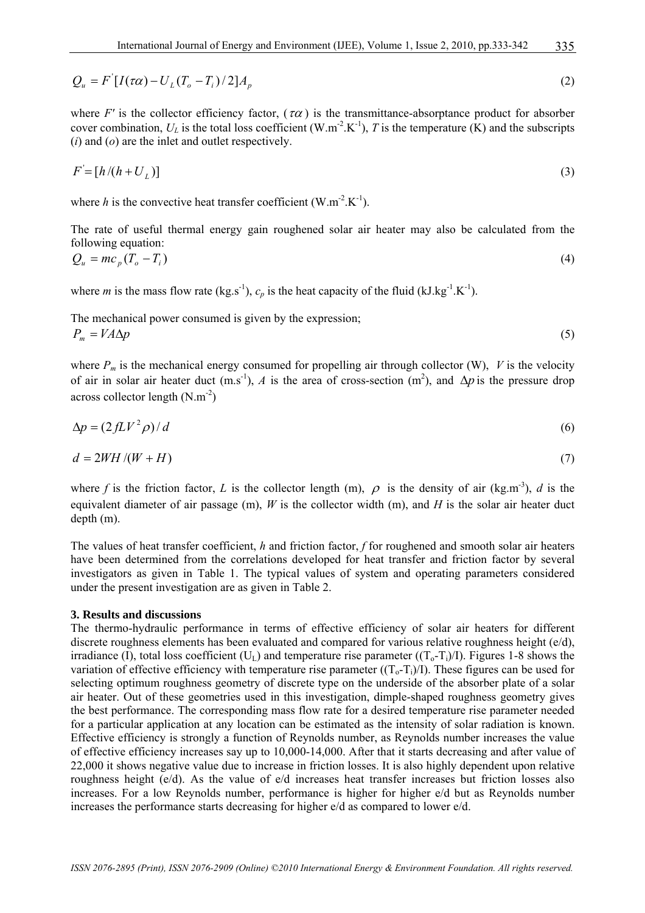$$
Q_u = F'[I(\tau\alpha) - U_L(T_o - T_i)/2]A_p
$$
\n
$$
(2)
$$

where *F'* is the collector efficiency factor, ( $\tau \alpha$ ) is the transmittance-absorptance product for absorber cover combination,  $U_L$  is the total loss coefficient (W.m<sup>-2</sup>.K<sup>-1</sup>), *T* is the temperature (K) and the subscripts (*i*) and (*o*) are the inlet and outlet respectively.

$$
F = [h/(h + U_L)] \tag{3}
$$

where *h* is the convective heat transfer coefficient  $(W.m^{-2}.K^{-1})$ .

The rate of useful thermal energy gain roughened solar air heater may also be calculated from the following equation:

$$
Q_u = mc_p \left( T_o - T_i \right) \tag{4}
$$

where *m* is the mass flow rate (kg.s<sup>-1</sup>),  $c_p$  is the heat capacity of the fluid (kJ.kg<sup>-1</sup>.K<sup>-1</sup>).

The mechanical power consumed is given by the expression;  $P_m = V A \Delta p$  (5)

where  $P_m$  is the mechanical energy consumed for propelling air through collector (W), *V* is the velocity of air in solar air heater duct (m.s<sup>-1</sup>), *A* is the area of cross-section (m<sup>2</sup>), and  $\Delta p$  is the pressure drop across collector length  $(N.m^{-2})$ 

$$
\Delta p = (2fLV^2\rho)/d\tag{6}
$$

$$
d = 2WH / (W + H) \tag{7}
$$

where *f* is the friction factor, *L* is the collector length (m),  $\rho$  is the density of air (kg.m<sup>-3</sup>), *d* is the equivalent diameter of air passage (m), *W* is the collector width (m), and *H* is the solar air heater duct depth (m).

The values of heat transfer coefficient, *h* and friction factor, *f* for roughened and smooth solar air heaters have been determined from the correlations developed for heat transfer and friction factor by several investigators as given in Table 1. The typical values of system and operating parameters considered under the present investigation are as given in Table 2.

#### **3. Results and discussions**

The thermo-hydraulic performance in terms of effective efficiency of solar air heaters for different discrete roughness elements has been evaluated and compared for various relative roughness height (e/d), irradiance (I), total loss coefficient ( $U_L$ ) and temperature rise parameter ( $(T_o-T_i)/I$ ). Figures 1-8 shows the variation of effective efficiency with temperature rise parameter  $((T_0-T_i)/I)$ . These figures can be used for selecting optimum roughness geometry of discrete type on the underside of the absorber plate of a solar air heater. Out of these geometries used in this investigation, dimple-shaped roughness geometry gives the best performance. The corresponding mass flow rate for a desired temperature rise parameter needed for a particular application at any location can be estimated as the intensity of solar radiation is known. Effective efficiency is strongly a function of Reynolds number, as Reynolds number increases the value of effective efficiency increases say up to 10,000-14,000. After that it starts decreasing and after value of 22,000 it shows negative value due to increase in friction losses. It is also highly dependent upon relative roughness height (e/d). As the value of e/d increases heat transfer increases but friction losses also increases. For a low Reynolds number, performance is higher for higher e/d but as Reynolds number increases the performance starts decreasing for higher e/d as compared to lower e/d.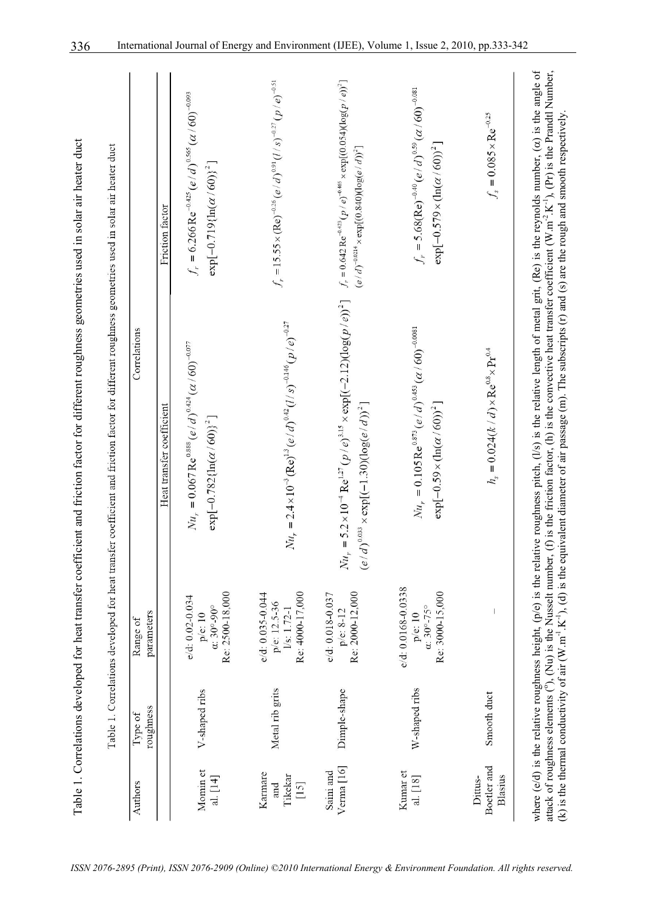| Authors                             | Type of         | Range of                                                                 | Correlations                                                                                                                                                        |                                                                                                                                               |
|-------------------------------------|-----------------|--------------------------------------------------------------------------|---------------------------------------------------------------------------------------------------------------------------------------------------------------------|-----------------------------------------------------------------------------------------------------------------------------------------------|
|                                     | roughness       | parameters                                                               | Heat transfer coefficient                                                                                                                                           | Friction factor                                                                                                                               |
| Momin et<br>al. $[14]$              | V-shaped ribs   | Re: 2500 18,000<br>e/d: 0.02-0.034<br>$\alpha$ : 30°-90°<br>p/e: 10      | $Nu_r = 0.067 \text{ Re}^{0.888} (e/d)^{0.424} (\alpha/60)^{-0.077}$<br>$\exp[-0.782\{\ln(\alpha/60)\}^2]$                                                          | $f_r = 6.266 \text{Re}^{-0.425} (e/d)^{0.565} (a/60)^{-0.093}$<br>$\exp[-0.719\{\ln(\alpha/60)\}^2]$                                          |
| Karmare<br>Tikekar<br>$[15]$<br>and | Metal rib grits | Re: 4000-17,000<br>e/d: 0.035-0.044<br>p/e: 12.5-36<br>1/s: 1.72-1       | $Nu_r = 2.4 \times 10^{-3} (Re)^{1.3} (e/d)^{0.42} (l/s)^{-0.146} (p/e)^{-0.27}$                                                                                    | $f_r = 15.55 \times (\text{Re})^{-0.26} (e/d)^{0.91} (l/s)^{-0.27} (p/e)^{-0.51}$                                                             |
| Verma <sup>[16]</sup><br>Saini and  | Dimple-shape    | Re: 2000-12,000<br>e/d: 0.018-0.037<br>p/e: 8-12                         | $Nu_r = 5.2 \times 10^{-4}$ Re <sup>127</sup> (p   e) <sup>3,15</sup> × exp[(-2.12)(log(p   e)) <sup>2</sup> ]<br>$(e/d)^{0.033} \times \exp[(-1.30)(\log(e/d))^2]$ | $f_r = 0.642 \text{ Re}^{-0.423} (p / e)^{-0.465} \times \exp[(0.054)(\log(p / e))^2]$<br>$(e/d)^{-0.0214} \times \exp[(0.840)(\log(e/d))^2]$ |
| Kunnar et<br>al. [18]               | W-shaped ribs   | e/d: 0.0168-0.0338<br>Re: 3000-15,000<br>$\alpha$ : 30°-75°<br>p/e: $10$ | $Nu_r = 0.105 \text{ Re}^{0.873} (e/d)^{0.453} (\alpha/60)^{-0.0081}$<br>$\exp[-0.59 \times (\ln(\alpha/60))^2]$                                                    | $f_r = 5.68(\text{Re})^{-0.40} (e/d)^{0.59} (a/60)^{-0.081}$<br>$\exp[-0.579 \times (\ln(\alpha/60))^2]$                                      |
| Boetler and<br>Blasius<br>Dittus-   | Smooth duct     | $\overline{\phantom{a}}$                                                 | $h_s = 0.024(k/d) \times \text{Re}^{0.8} \times \text{Pr}^{0.4}$                                                                                                    | $f_s = 0.085 \times \text{Re}^{-0.25}$                                                                                                        |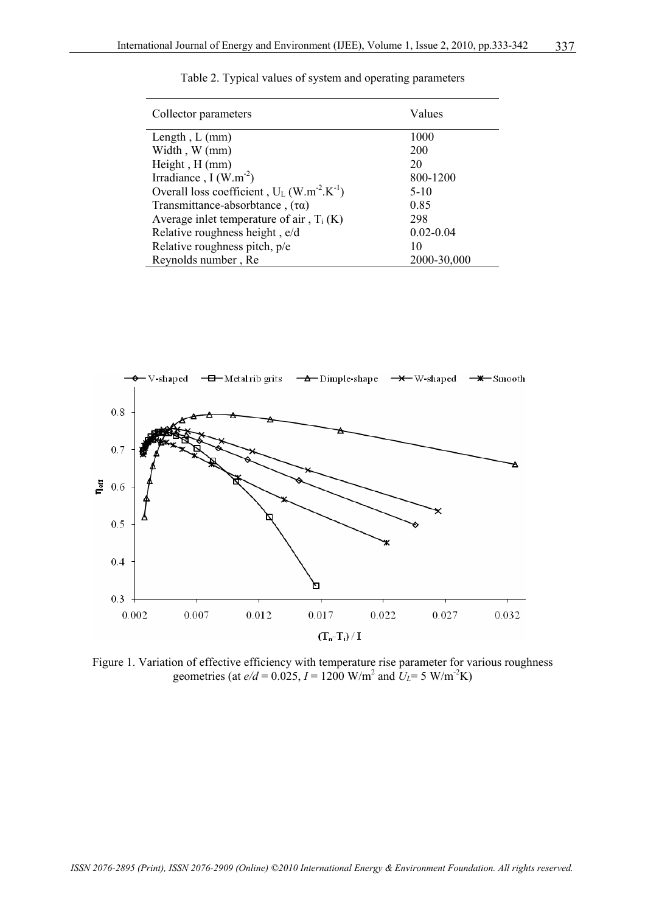| Collector parameters                                                  | Values        |
|-----------------------------------------------------------------------|---------------|
| Length, $L$ (mm)                                                      | 1000          |
| Width, W (mm)                                                         | 200           |
| Height, H (mm)                                                        | 20            |
| Irradiance, $I(W.m^{-2})$                                             | 800-1200      |
| Overall loss coefficient, $U_L$ (W.m <sup>-2</sup> .K <sup>-1</sup> ) | $5-10$        |
| Transmittance-absorbtance, $(\tau \alpha)$                            | 0.85          |
| Average inlet temperature of air, $T_i(K)$                            | 298           |
| Relative roughness height, e/d                                        | $0.02 - 0.04$ |
| Relative roughness pitch, p/e                                         | 10            |
| Reynolds number, Re                                                   | 2000-30,000   |





Figure 1. Variation of effective efficiency with temperature rise parameter for various roughness geometries (at  $e/d = 0.025$ ,  $I = 1200$  W/m<sup>2</sup> and  $U_L = 5$  W/m<sup>2</sup>K)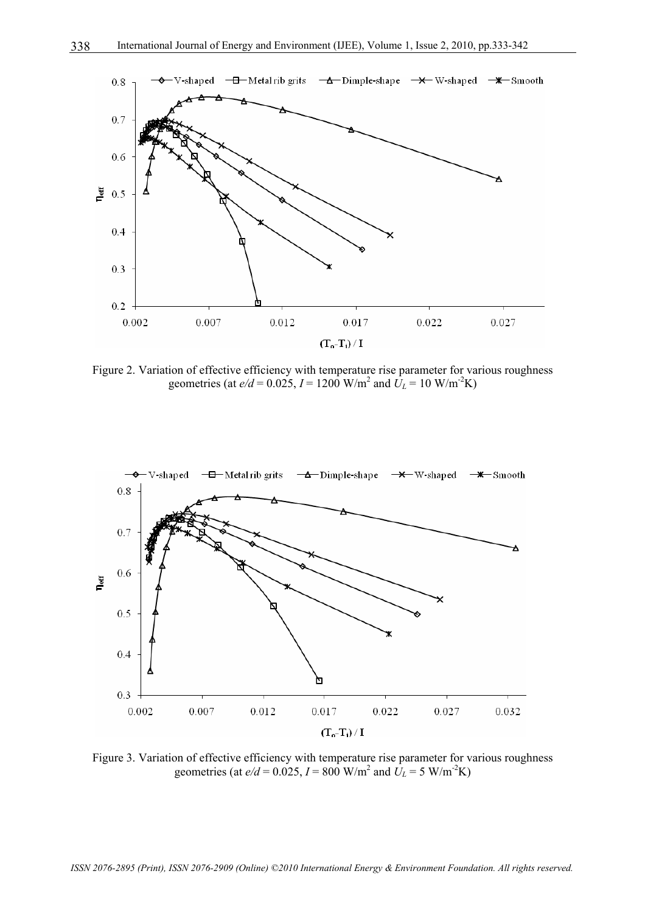

Figure 2. Variation of effective efficiency with temperature rise parameter for various roughness geometries (at  $e/d = 0.025$ ,  $I = 1200$  W/m<sup>2</sup> and  $U_L = 10$  W/m<sup>2</sup>K)



Figure 3. Variation of effective efficiency with temperature rise parameter for various roughness geometries (at  $e/d = 0.025$ ,  $I = 800$  W/m<sup>2</sup> and  $U_L = 5$  W/m<sup>2</sup>K)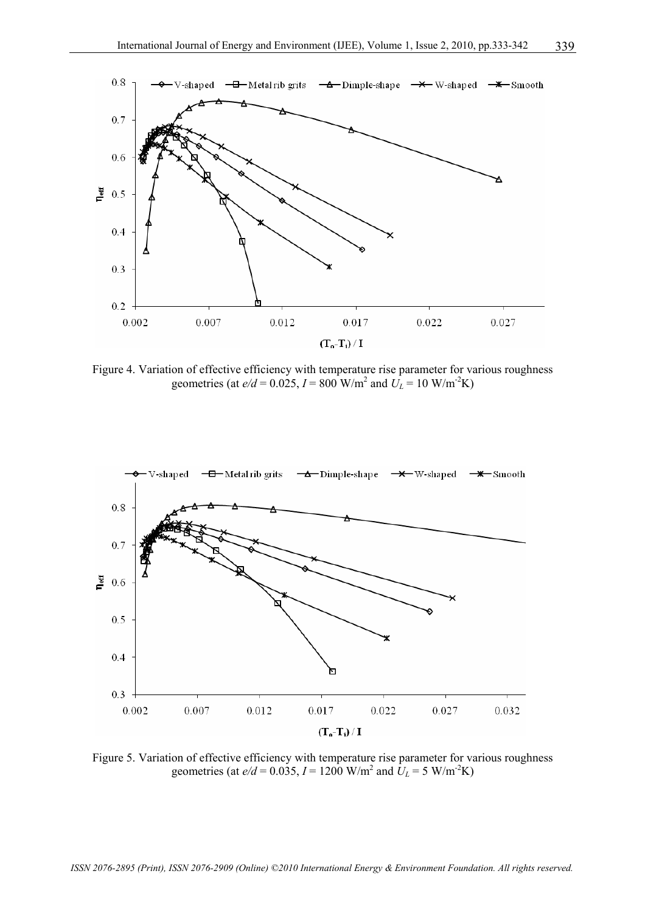

Figure 4. Variation of effective efficiency with temperature rise parameter for various roughness geometries (at  $e/d = 0.025$ ,  $I = 800$  W/m<sup>2</sup> and  $U_L = 10$  W/m<sup>-2</sup>K)



Figure 5. Variation of effective efficiency with temperature rise parameter for various roughness geometries (at  $e/d = 0.035$ ,  $I = 1200$  W/m<sup>2</sup> and  $U_L = 5$  W/m<sup>-2</sup>K)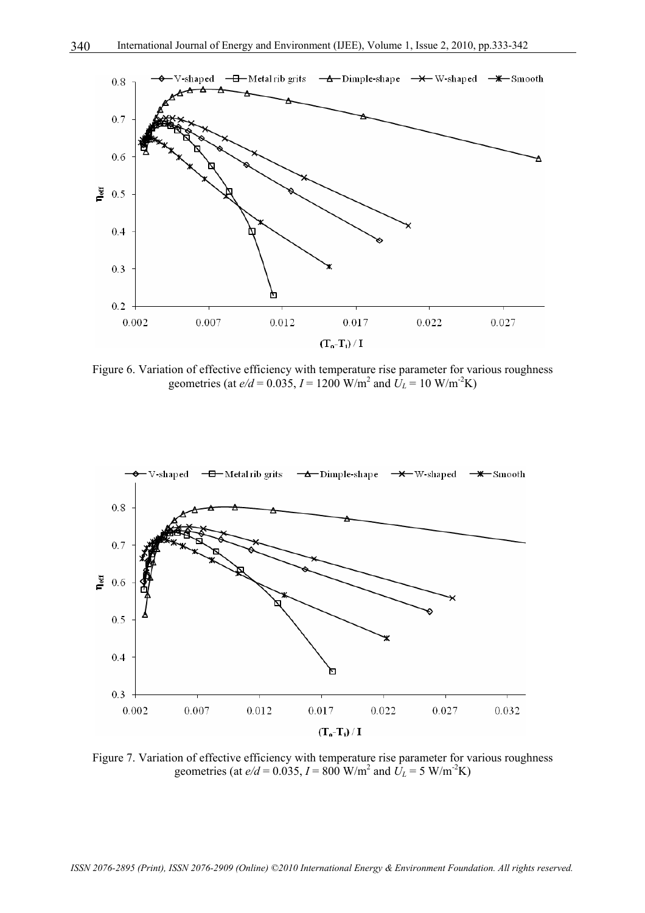

Figure 6. Variation of effective efficiency with temperature rise parameter for various roughness geometries (at  $e/d = 0.035$ ,  $I = 1200$  W/m<sup>2</sup> and  $U_L = 10$  W/m<sup>2</sup>K)



Figure 7. Variation of effective efficiency with temperature rise parameter for various roughness geometries (at  $e/d = 0.035$ ,  $I = 800$  W/m<sup>2</sup> and  $U_L = 5$  W/m<sup>2</sup>K)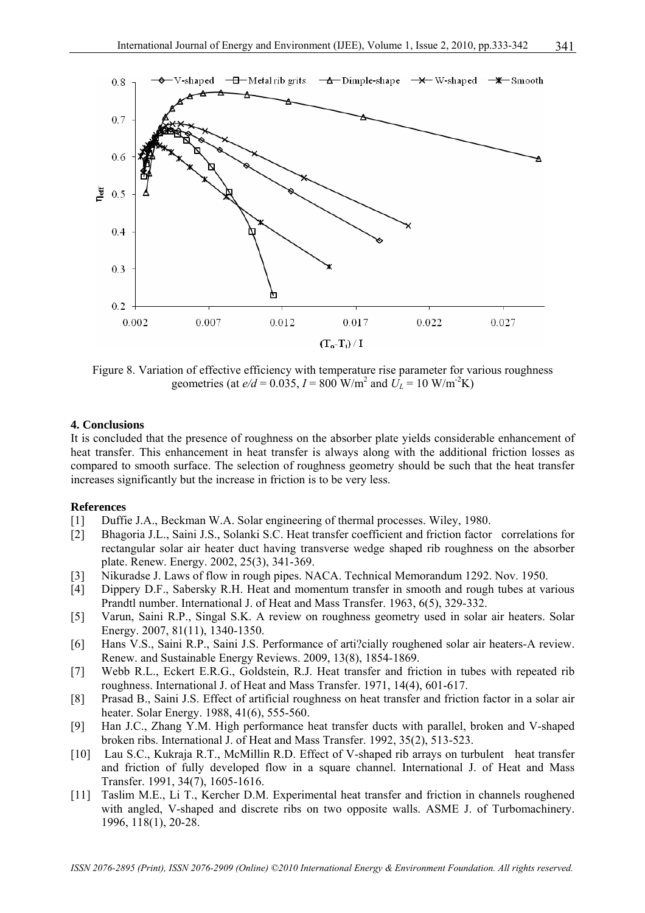

Figure 8. Variation of effective efficiency with temperature rise parameter for various roughness geometries (at  $e/d = 0.035$ ,  $I = 800$  W/m<sup>2</sup> and  $U_L = 10$  W/m<sup>-2</sup>K)

#### **4. Conclusions**

It is concluded that the presence of roughness on the absorber plate yields considerable enhancement of heat transfer. This enhancement in heat transfer is always along with the additional friction losses as compared to smooth surface. The selection of roughness geometry should be such that the heat transfer increases significantly but the increase in friction is to be very less.

#### **References**

- [1] Duffie J.A., Beckman W.A. Solar engineering of thermal processes. Wiley, 1980.
- [2] Bhagoria J.L., Saini J.S., Solanki S.C. Heat transfer coefficient and friction factor correlations for rectangular solar air heater duct having transverse wedge shaped rib roughness on the absorber plate. Renew. Energy. 2002, 25(3), 341-369.
- [3] Nikuradse J. Laws of flow in rough pipes. NACA. Technical Memorandum 1292. Nov. 1950.
- [4] Dippery D.F., Sabersky R.H. Heat and momentum transfer in smooth and rough tubes at various Prandtl number. International J. of Heat and Mass Transfer. 1963, 6(5), 329-332.
- [5] Varun, Saini R.P., Singal S.K. A review on roughness geometry used in solar air heaters. Solar Energy. 2007, 81(11), 1340-1350.
- [6] Hans V.S., Saini R.P., Saini J.S. Performance of arti?cially roughened solar air heaters-A review. Renew. and Sustainable Energy Reviews. 2009, 13(8), 1854-1869.
- [7] Webb R.L., Eckert E.R.G., Goldstein, R.J. Heat transfer and friction in tubes with repeated rib roughness. International J. of Heat and Mass Transfer. 1971, 14(4), 601-617.
- [8] Prasad B., Saini J.S. Effect of artificial roughness on heat transfer and friction factor in a solar air heater. Solar Energy. 1988, 41(6), 555-560.
- [9] Han J.C., Zhang Y.M. High performance heat transfer ducts with parallel, broken and V-shaped broken ribs. International J. of Heat and Mass Transfer. 1992, 35(2), 513-523.
- [10] Lau S.C., Kukraja R.T., McMillin R.D. Effect of V-shaped rib arrays on turbulent heat transfer and friction of fully developed flow in a square channel. International J. of Heat and Mass Transfer. 1991, 34(7), 1605-1616.
- [11] Taslim M.E., Li T., Kercher D.M. Experimental heat transfer and friction in channels roughened with angled, V-shaped and discrete ribs on two opposite walls. ASME J. of Turbomachinery. 1996, 118(1), 20-28.